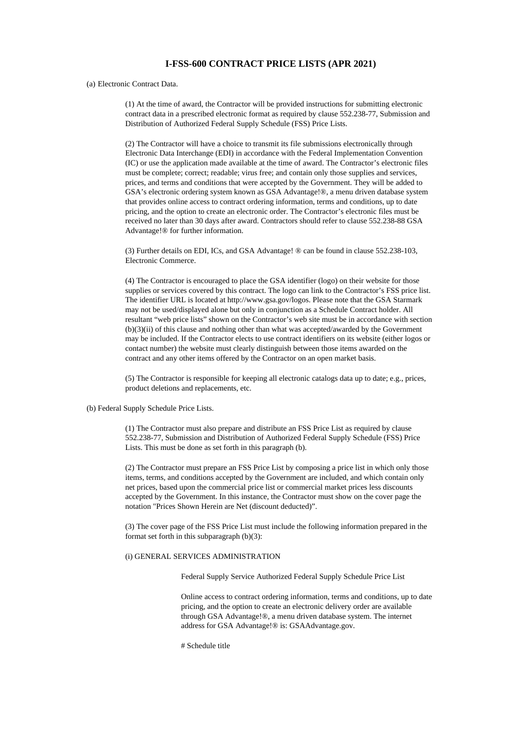## **I-FSS-600 CONTRACT PRICE LISTS (APR 2021)**

## (a) Electronic Contract Data.

(1) At the time of award, the Contractor will be provided instructions for submitting electronic contract data in a prescribed electronic format as required by clause 552.238-77, Submission and Distribution of Authorized Federal Supply Schedule (FSS) Price Lists.

(2) The Contractor will have a choice to transmit its file submissions electronically through Electronic Data Interchange (EDI) in accordance with the Federal Implementation Convention (IC) or use the application made available at the time of award. The Contractor's electronic files must be complete; correct; readable; virus free; and contain only those supplies and services, prices, and terms and conditions that were accepted by the Government. They will be added to GSA's electronic ordering system known as GSA Advantage!®, a menu driven database system that provides online access to contract ordering information, terms and conditions, up to date pricing, and the option to create an electronic order. The Contractor's electronic files must be received no later than 30 days after award. Contractors should refer to clause 552.238-88 GSA Advantage!® for further information.

(3) Further details on EDI, ICs, and GSA Advantage! ® can be found in clause 552.238-103, Electronic Commerce.

(4) The Contractor is encouraged to place the GSA identifier (logo) on their website for those supplies or services covered by this contract. The logo can link to the Contractor's FSS price list. The identifier URL is located at http://www.gsa.gov/logos. Please note that the GSA Starmark may not be used/displayed alone but only in conjunction as a Schedule Contract holder. All resultant "web price lists" shown on the Contractor's web site must be in accordance with section (b)(3)(ii) of this clause and nothing other than what was accepted/awarded by the Government may be included. If the Contractor elects to use contract identifiers on its website (either logos or contact number) the website must clearly distinguish between those items awarded on the contract and any other items offered by the Contractor on an open market basis.

(5) The Contractor is responsible for keeping all electronic catalogs data up to date; e.g., prices, product deletions and replacements, etc.

## (b) Federal Supply Schedule Price Lists.

(1) The Contractor must also prepare and distribute an FSS Price List as required by clause 552.238-77, Submission and Distribution of Authorized Federal Supply Schedule (FSS) Price Lists. This must be done as set forth in this paragraph (b).

(2) The Contractor must prepare an FSS Price List by composing a price list in which only those items, terms, and conditions accepted by the Government are included, and which contain only net prices, based upon the commercial price list or commercial market prices less discounts accepted by the Government. In this instance, the Contractor must show on the cover page the notation "Prices Shown Herein are Net (discount deducted)".

(3) The cover page of the FSS Price List must include the following information prepared in the format set forth in this subparagraph (b)(3):

## (i) GENERAL SERVICES ADMINISTRATION

Federal Supply Service Authorized Federal Supply Schedule Price List

Online access to contract ordering information, terms and conditions, up to date pricing, and the option to create an electronic delivery order are available through GSA Advantage!®, a menu driven database system. The internet address for GSA Advantage!® is: GSAAdvantage.gov.

# Schedule title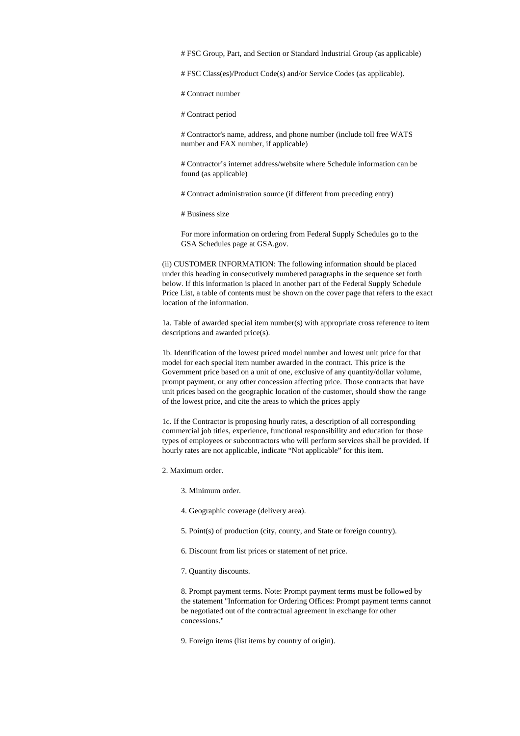# FSC Group, Part, and Section or Standard Industrial Group (as applicable)

# FSC Class(es)/Product Code(s) and/or Service Codes (as applicable).

# Contract number

# Contract period

# Contractor's name, address, and phone number (include toll free WATS number and FAX number, if applicable)

# Contractor's internet address/website where Schedule information can be found (as applicable)

# Contract administration source (if different from preceding entry)

# Business size

For more information on ordering from Federal Supply Schedules go to the GSA Schedules page at GSA.gov.

(ii) CUSTOMER INFORMATION: The following information should be placed under this heading in consecutively numbered paragraphs in the sequence set forth below. If this information is placed in another part of the Federal Supply Schedule Price List, a table of contents must be shown on the cover page that refers to the exact location of the information.

1a. Table of awarded special item number(s) with appropriate cross reference to item descriptions and awarded price(s).

1b. Identification of the lowest priced model number and lowest unit price for that model for each special item number awarded in the contract. This price is the Government price based on a unit of one, exclusive of any quantity/dollar volume, prompt payment, or any other concession affecting price. Those contracts that have unit prices based on the geographic location of the customer, should show the range of the lowest price, and cite the areas to which the prices apply

1c. If the Contractor is proposing hourly rates, a description of all corresponding commercial job titles, experience, functional responsibility and education for those types of employees or subcontractors who will perform services shall be provided. If hourly rates are not applicable, indicate "Not applicable" for this item.

2. Maximum order.

- 3. Minimum order.
- 4. Geographic coverage (delivery area).
- 5. Point(s) of production (city, county, and State or foreign country).
- 6. Discount from list prices or statement of net price.
- 7. Quantity discounts.

8. Prompt payment terms. Note: Prompt payment terms must be followed by the statement "Information for Ordering Offices: Prompt payment terms cannot be negotiated out of the contractual agreement in exchange for other concessions."

9. Foreign items (list items by country of origin).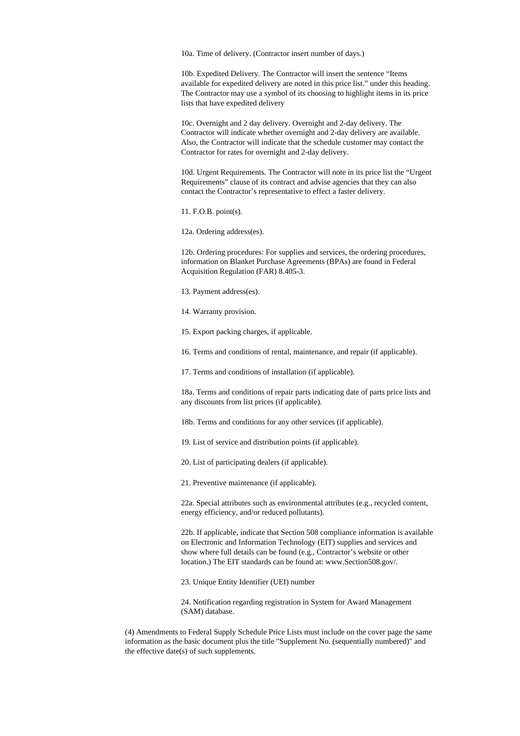10a. Time of delivery. (Contractor insert number of days.)

10b. Expedited Delivery. The Contractor will insert the sentence "Items available for expedited delivery are noted in this price list." under this heading. The Contractor may use a symbol of its choosing to highlight items in its price lists that have expedited delivery

10c. Overnight and 2 day delivery. Overnight and 2-day delivery. The Contractor will indicate whether overnight and 2-day delivery are available. Also, the Contractor will indicate that the schedule customer may contact the Contractor for rates for overnight and 2-day delivery.

10d. Urgent Requirements. The Contractor will note in its price list the "Urgent Requirements" clause of its contract and advise agencies that they can also contact the Contractor's representative to effect a faster delivery.

11. F.O.B. point(s).

12a. Ordering address(es).

12b. Ordering procedures: For supplies and services, the ordering procedures, information on Blanket Purchase Agreements (BPAs) are found in Federal Acquisition Regulation (FAR) 8.405-3.

13. Payment address(es).

14. Warranty provision.

15. Export packing charges, if applicable.

16. Terms and conditions of rental, maintenance, and repair (if applicable).

17. Terms and conditions of installation (if applicable).

18a. Terms and conditions of repair parts indicating date of parts price lists and any discounts from list prices (if applicable).

18b. Terms and conditions for any other services (if applicable).

19. List of service and distribution points (if applicable).

20. List of participating dealers (if applicable).

21. Preventive maintenance (if applicable).

22a. Special attributes such as environmental attributes (e.g., recycled content, energy efficiency, and/or reduced pollutants).

22b. If applicable, indicate that Section 508 compliance information is available on Electronic and Information Technology (EIT) supplies and services and show where full details can be found (e.g., Contractor's website or other location.) The EIT standards can be found at: www.Section508.gov/.

23. Unique Entity Identifier (UEI) number

24. Notification regarding registration in System for Award Management (SAM) database.

(4) Amendments to Federal Supply Schedule Price Lists must include on the cover page the same information as the basic document plus the title "Supplement No. (sequentially numbered)" and the effective date(s) of such supplements.